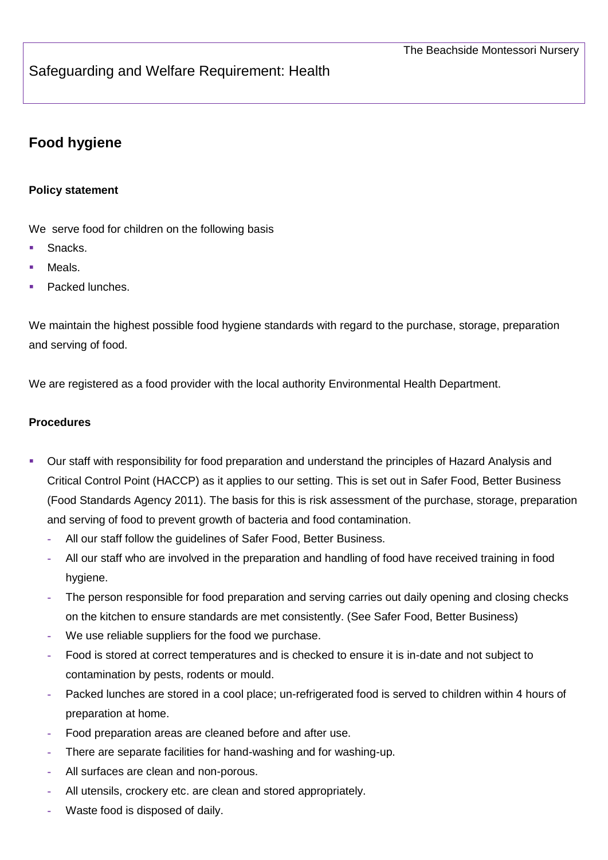## Safeguarding and Welfare Requirement: Health

# **Food hygiene**

#### **Policy statement**

We serve food for children on the following basis

- Snacks.
- Meals.
- Packed lunches.

We maintain the highest possible food hygiene standards with regard to the purchase, storage, preparation and serving of food.

We are registered as a food provider with the local authority Environmental Health Department.

#### **Procedures**

- Our staff with responsibility for food preparation and understand the principles of Hazard Analysis and Critical Control Point (HACCP) as it applies to our setting. This is set out in Safer Food, Better Business (Food Standards Agency 2011). The basis for this is risk assessment of the purchase, storage, preparation and serving of food to prevent growth of bacteria and food contamination.
	- **-** All our staff follow the guidelines of Safer Food, Better Business.
	- **-** All our staff who are involved in the preparation and handling of food have received training in food hygiene.
	- **-** The person responsible for food preparation and serving carries out daily opening and closing checks on the kitchen to ensure standards are met consistently. (See Safer Food, Better Business)
	- **-** We use reliable suppliers for the food we purchase.
	- **-** Food is stored at correct temperatures and is checked to ensure it is in-date and not subject to contamination by pests, rodents or mould.
	- **-** Packed lunches are stored in a cool place; un-refrigerated food is served to children within 4 hours of preparation at home.
	- **-** Food preparation areas are cleaned before and after use.
	- **-** There are separate facilities for hand-washing and for washing-up.
	- **-** All surfaces are clean and non-porous.
	- **-** All utensils, crockery etc. are clean and stored appropriately.
	- **-** Waste food is disposed of daily.